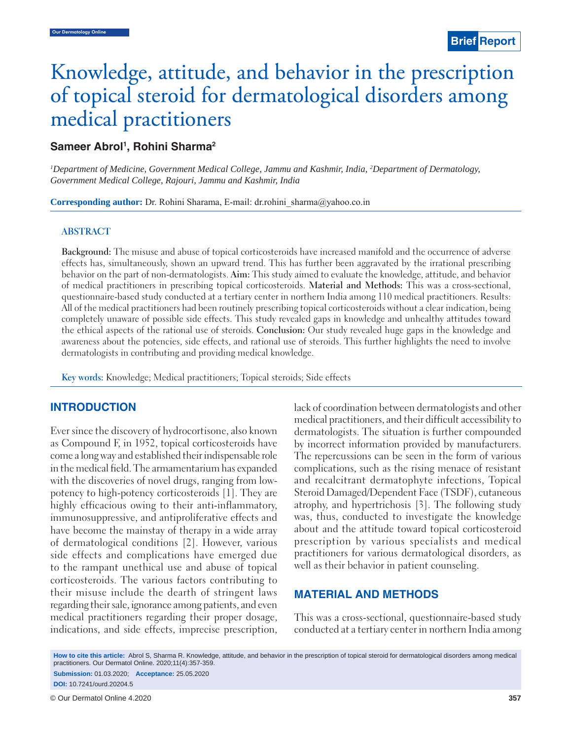# Knowledge, attitude, and behavior in the prescription of topical steroid for dermatological disorders among medical practitioners

## Sameer Abrol<sup>1</sup>, Rohini Sharma<sup>2</sup>

*1 Department of Medicine, Government Medical College, Jammu and Kashmir, India, 2 Department of Dermatology, Government Medical College, Rajouri, Jammu and Kashmir, India*

**Corresponding author:** Dr. Rohini Sharama, E-mail: dr.rohini\_sharma@yahoo.co.in

#### **ABSTRACT**

**Background:** The misuse and abuse of topical corticosteroids have increased manifold and the occurrence of adverse effects has, simultaneously, shown an upward trend. This has further been aggravated by the irrational prescribing behavior on the part of non-dermatologists. **Aim:** This study aimed to evaluate the knowledge, attitude, and behavior of medical practitioners in prescribing topical corticosteroids. **Material and Methods:** This was a cross-sectional, questionnaire-based study conducted at a tertiary center in northern India among 110 medical practitioners. Results: All of the medical practitioners had been routinely prescribing topical corticosteroids without a clear indication, being completely unaware of possible side effects. This study revealed gaps in knowledge and unhealthy attitudes toward the ethical aspects of the rational use of steroids. **Conclusion:** Our study revealed huge gaps in the knowledge and awareness about the potencies, side effects, and rational use of steroids. This further highlights the need to involve dermatologists in contributing and providing medical knowledge.

**Key words:** Knowledge; Medical practitioners; Topical steroids; Side effects

### **INTRODUCTION**

Ever since the discovery of hydrocortisone, also known as Compound F, in 1952, topical corticosteroids have come a long way and established their indispensable role in the medical field. The armamentarium has expanded with the discoveries of novel drugs, ranging from lowpotency to high-potency corticosteroids [1]. They are highly efficacious owing to their anti-inflammatory, immunosuppressive, and antiproliferative effects and have become the mainstay of therapy in a wide array of dermatological conditions [2]. However, various side effects and complications have emerged due to the rampant unethical use and abuse of topical corticosteroids. The various factors contributing to their misuse include the dearth of stringent laws regarding their sale, ignorance among patients, and even medical practitioners regarding their proper dosage, indications, and side effects, imprecise prescription, lack of coordination between dermatologists and other medical practitioners, and their difficult accessibility to dermatologists. The situation is further compounded by incorrect information provided by manufacturers. The repercussions can be seen in the form of various complications, such as the rising menace of resistant and recalcitrant dermatophyte infections, Topical Steroid Damaged/Dependent Face (TSDF), cutaneous atrophy, and hypertrichosis [3]. The following study was, thus, conducted to investigate the knowledge about and the attitude toward topical corticosteroid prescription by various specialists and medical practitioners for various dermatological disorders, as well as their behavior in patient counseling.

### **MATERIAL AND METHODS**

This was a cross-sectional, questionnaire-based study conducted at a tertiary center in northern India among

**How to cite this article:** Abrol S, Sharma R. Knowledge, attitude, and behavior in the prescription of topical steroid for dermatological disorders among medical practitioners. Our Dermatol Online. 2020;11(4):357-359. **Submission:** 01.03.2020; **Acceptance:** 25.05.2020

**DOI:** 10.7241/ourd.20204.5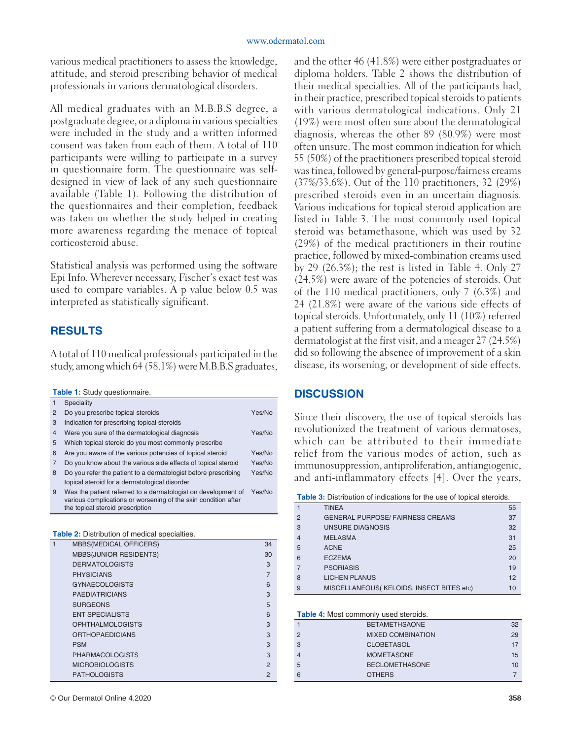various medical practitioners to assess the knowledge, attitude, and steroid prescribing behavior of medical professionals in various dermatological disorders.

All medical graduates with an M.B.B.S degree, a postgraduate degree, or a diploma in various specialties were included in the study and a written informed consent was taken from each of them. A total of 110 participants were willing to participate in a survey in questionnaire form. The questionnaire was selfdesigned in view of lack of any such questionnaire available (Table 1). Following the distribution of the questionnaires and their completion, feedback was taken on whether the study helped in creating more awareness regarding the menace of topical corticosteroid abuse.

Statistical analysis was performed using the software Epi Info. Wherever necessary, Fischer's exact test was used to compare variables. A p value below 0.5 was interpreted as statistically significant.

# **RESULTS**

A total of 110 medical professionals participated in the study, among which 64 (58.1%) were M.B.B.S graduates,

**Table 1:** Study questionnaire.

|   | Speciality                                                                                                                                                          |        |
|---|---------------------------------------------------------------------------------------------------------------------------------------------------------------------|--------|
| 2 | Do you prescribe topical steroids                                                                                                                                   | Yes/No |
| 3 | Indication for prescribing topical steroids                                                                                                                         |        |
| 4 | Were you sure of the dermatological diagnosis                                                                                                                       | Yes/No |
| 5 | Which topical steroid do you most commonly prescribe                                                                                                                |        |
| 6 | Are you aware of the various potencies of topical steroid                                                                                                           | Yes/No |
| 7 | Do you know about the various side effects of topical steroid                                                                                                       | Yes/No |
| 8 | Do you refer the patient to a dermatologist before prescribing<br>topical steroid for a dermatological disorder                                                     | Yes/No |
| 9 | Was the patient referred to a dermatologist on development of<br>various complications or worsening of the skin condition after<br>the topical steroid prescription | Yes/No |

| Table 2: Distribution of medical specialties. |
|-----------------------------------------------|
|-----------------------------------------------|

| 1 | <b>MBBS(MEDICAL OFFICERS)</b> | 34             |
|---|-------------------------------|----------------|
|   | <b>MBBS(JUNIOR RESIDENTS)</b> | 30             |
|   | <b>DERMATOLOGISTS</b>         | 3              |
|   | <b>PHYSICIANS</b>             | 7              |
|   | <b>GYNAECOLOGISTS</b>         | 6              |
|   | <b>PAEDIATRICIANS</b>         | 3              |
|   | <b>SURGEONS</b>               | 5              |
|   | <b>ENT SPECIALISTS</b>        | 6              |
|   | <b>OPHTHALMOLOGISTS</b>       | 3              |
|   | <b>ORTHOPAEDICIANS</b>        | 3              |
|   | <b>PSM</b>                    | 3              |
|   | <b>PHARMACOLOGISTS</b>        | 3              |
|   | <b>MICROBIOLOGISTS</b>        | $\mathfrak{p}$ |
|   | <b>PATHOLOGISTS</b>           | $\mathfrak{p}$ |

© Our Dermatol Online 4.2020 **358**

and the other 46 (41.8%) were either postgraduates or diploma holders. Table 2 shows the distribution of their medical specialties. All of the participants had, in their practice, prescribed topical steroids to patients with various dermatological indications. Only 21 (19%) were most often sure about the dermatological diagnosis, whereas the other 89 (80.9%) were most often unsure. The most common indication for which 55 (50%) of the practitioners prescribed topical steroid was tinea, followed by general-purpose/fairness creams (37%/33.6%). Out of the 110 practitioners, 32 (29%) prescribed steroids even in an uncertain diagnosis. Various indications for topical steroid application are listed in Table 3. The most commonly used topical steroid was betamethasone, which was used by 32 (29%) of the medical practitioners in their routine practice, followed by mixed-combination creams used by 29 (26.3%); the rest is listed in Table 4. Only 27 (24.5%) were aware of the potencies of steroids. Out of the 110 medical practitioners, only 7 (6.3%) and 24 (21.8%) were aware of the various side effects of topical steroids. Unfortunately, only 11 (10%) referred a patient suffering from a dermatological disease to a dermatologist at the first visit, and a meager 27 (24.5%) did so following the absence of improvement of a skin disease, its worsening, or development of side effects.

## **DISCUSSION**

Since their discovery, the use of topical steroids has revolutionized the treatment of various dermatoses, which can be attributed to their immediate relief from the various modes of action, such as immunosuppression, antiproliferation, antiangiogenic, and anti-inflammatory effects [4]. Over the years,

**Table 3:** Distribution of indications for the use of topical steroids.

|                | <b>TINEA</b>                             | 55 |
|----------------|------------------------------------------|----|
| $\mathcal{P}$  | <b>GENERAL PURPOSE/ FAIRNESS CREAMS</b>  | 37 |
| 3              | UNSURE DIAGNOSIS                         | 32 |
| $\overline{4}$ | <b>MELASMA</b>                           | 31 |
| 5              | <b>ACNE</b>                              | 25 |
| 6              | <b>ECZEMA</b>                            | 20 |
|                | <b>PSORIASIS</b>                         | 19 |
| 8              | <b>LICHEN PLANUS</b>                     | 12 |
| 9              | MISCELLANEOUS(KELOIDS, INSECT BITES etc) | 10 |

**Table 4:** Most commonly used steroids.

|               | <b>BETAMETHSAONE</b>     | 32 |
|---------------|--------------------------|----|
| $\mathcal{P}$ | <b>MIXED COMBINATION</b> | 29 |
| 3             | <b>CLOBETASOL</b>        | 17 |
|               | <b>MOMETASONE</b>        | 15 |
| 5             | <b>BECLOMETHASONE</b>    | 10 |
|               | <b>OTHERS</b>            |    |